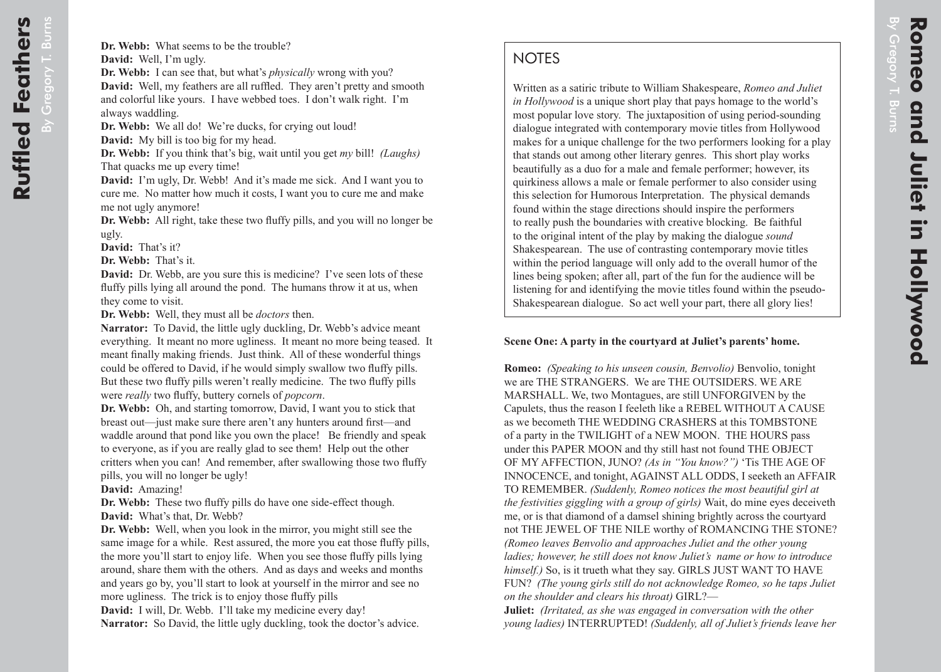Written as a satiric tribute to William Shakespeare, *Romeo and Juliet in Hollywood* is a unique short play that pays homage to the world's most popular love story. The juxtaposition of using period-sounding dialogue integrated with contemporary movie titles from Hollywood makes for a unique challenge for the two performers looking for a play that stands out among other literary genres. This short play works beautifully as a duo for a male and female performer; however, its quirkiness allows a male or female performer to also consider using this selection for Humorous Interpretation. The physical demands found within the stage directions should inspire the performers to really push the boundaries with creative blocking. Be faithful to the original intent of the play by making the dialogue *sound* Shakespearean. The use of contrasting contemporary movie titles within the period language will only add to the overall humor of the lines being spoken; after all, part of the fun for the audience will be listening for and identifying the movie titles found within the pseudo-Shakespearean dialogue. So act well your part, there all glory lies!

## **Scene One: A party in the courtyard at Juliet's parents' home.**

**Romeo:** *(Speaking to his unseen cousin, Benvolio)* Benvolio, tonight we are THE STRANGERS. We are THE OUTSIDERS. WE ARE MARSHALL. We, two Montagues, are still UNFORGIVEN by the Capulets, thus the reason I feeleth like a REBEL WITHOUT A CAUSE as we becometh THE WEDDING CRASHERS at this TOMBSTONE of a party in the TWILIGHT of a NEW MOON. THE HOURS pass under this PAPER MOON and thy still hast not found THE OBJECT OF MY AFFECTION, JUNO? *(As in "You know?")* 'Tis THE AGE OF INNOCENCE, and tonight, AGAINST ALL ODDS, I seeketh an AFFAIR TO REMEMBER. *(Suddenly, Romeo notices the most beautiful girl at the festivities giggling with a group of girls)* Wait, do mine eyes deceiveth me, or is that diamond of a damsel shining brightly across the courtyard not THE JEWEL OF THE NILE worthy of ROMANCING THE STONE? *(Romeo leaves Benvolio and approaches Juliet and the other young ladies; however, he still does not know Juliet's name or how to introduce himself.)* So, is it trueth what they say. GIRLS JUST WANT TO HAVE FUN? *(The young girls still do not acknowledge Romeo, so he taps Juliet on the shoulder and clears his throat)* GIRL?—

**Juliet:** *(Irritated, as she was engaged in conversation with the other young ladies)* INTERRUPTED! *(Suddenly, all of Juliet's friends leave her*  By Gregory T. Burns

V Gregory T. Burns